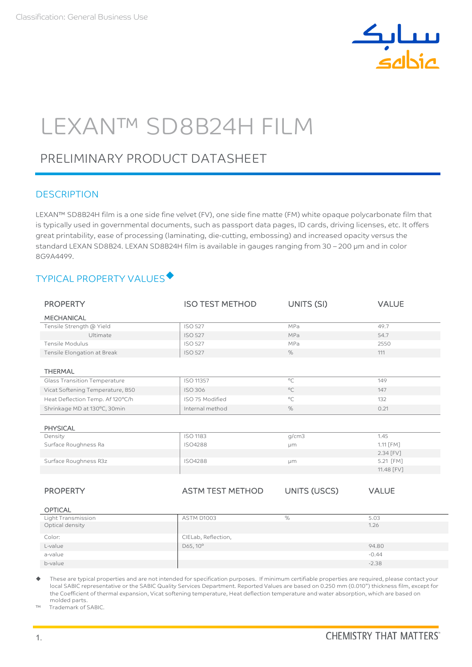

# LEXAN™ SD8B24H FILM

# PRELIMINARY PRODUCT DATASHEET

## **DESCRIPTION**

LEXAN™ SD8B24H film is a one side fine velvet (FV), one side fine matte (FM) white opaque polycarbonate film that is typically used in governmental documents, such as passport data pages, ID cards, driving licenses, etc. It offers great printability, ease of processing (laminating, die-cutting, embossing) and increased opacity versus the standard LEXAN SD8B24. LEXAN SD8B24H film is available in gauges ranging from 30 - 200 µm and in color 8G9A4499.

# TYPICAL PROPERTY VALUES

| <b>PROPERTY</b>                  | <b>ISO TEST METHOD</b>  | UNITS (SI)          | <b>VALUE</b> |
|----------------------------------|-------------------------|---------------------|--------------|
| <b>MECHANICAL</b>                |                         |                     |              |
| Tensile Strength @ Yield         | <b>ISO 527</b>          | MPa                 | 49.7         |
| Ultimate                         | <b>ISO 527</b>          | MPa                 | 54.7         |
| <b>Tensile Modulus</b>           | <b>ISO 527</b>          | MPa                 | 2550         |
| Tensile Elongation at Break      | <b>ISO 527</b>          | %                   | 111          |
|                                  |                         |                     |              |
| <b>THERMAL</b>                   |                         |                     |              |
| Glass Transition Temperature     | ISO 11357               | $^{\circ}$ C        | 149          |
| Vicat Softening Temperature, B50 | <b>ISO 306</b>          | $^{\circ}$ C        | 147          |
| Heat Deflection Temp. Af 120°C/h | ISO 75 Modified         | $^{\circ}$ C        | 132          |
| Shrinkage MD at 130°C, 30min     | Internal method         | $\%$                | 0.21         |
|                                  |                         |                     |              |
| <b>PHYSICAL</b>                  |                         |                     |              |
| Density                          | <b>ISO 1183</b>         | q/cm3               | 1.45         |
| Surface Roughness Ra             | <b>ISO4288</b>          | μm                  | 1.11 [FM]    |
|                                  |                         |                     | 2.34 [FV]    |
| Surface Roughness R3z            | <b>ISO4288</b>          | µm                  | 5.21 [FM]    |
|                                  |                         |                     | 11.48 [FV]   |
|                                  |                         |                     |              |
| <b>PROPERTY</b>                  | <b>ASTM TEST METHOD</b> | <b>UNITS (USCS)</b> | <b>VALUE</b> |
|                                  |                         |                     |              |
| <b>OPTICAL</b>                   |                         |                     |              |
| Light Transmission               | <b>ASTM D1003</b>       | $\%$                | 5.03         |
| Optical density                  |                         |                     | 1.26         |
| Color:                           | CIELab, Reflection,     |                     |              |
| L-value                          | D65, 10°                |                     | 94.80        |
| a-value                          |                         |                     | $-0.44$      |
| b-value                          |                         |                     | $-2.38$      |

 These are typical properties and are not intended for specification purposes. If minimum certifiable properties are required, please contact your local SABIC representative or the SABIC Quality Services Department. Reported Values are based on 0.250 mm (0.010") thickness film, except for the Coefficient of thermal expansion, Vicat softening temperature, Heat deflection temperature and water absorption, which are based on molded parts.

™ Trademark of SABIC.